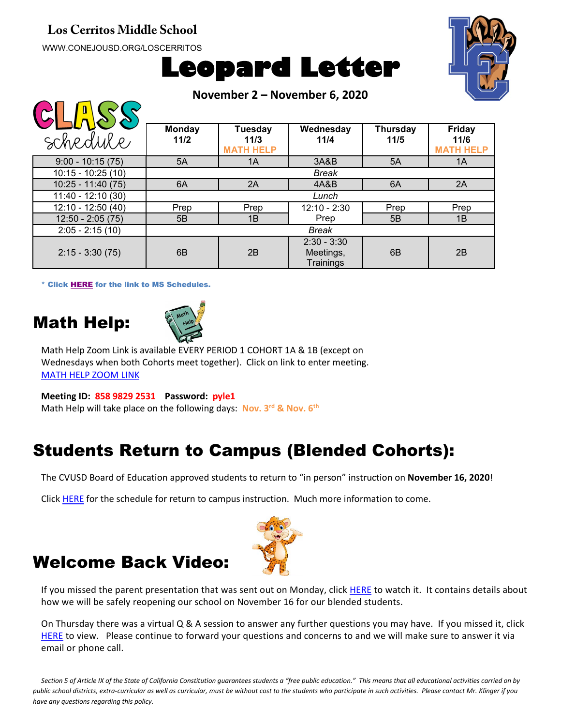#### **Los Cerritos Middle School**

WWW.CONEJOUSD.ORG/LOSCERRITOS





**November 2 – November 6, 2020**

| . .                 |                       |                                     |                                         |                         |                                           |
|---------------------|-----------------------|-------------------------------------|-----------------------------------------|-------------------------|-------------------------------------------|
| schedule            | <b>Monday</b><br>11/2 | Tuesday<br>11/3<br><b>MATH HELP</b> | Wednesday<br>11/4                       | <b>Thursday</b><br>11/5 | <b>Friday</b><br>11/6<br><b>MATH HELP</b> |
| $9:00 - 10:15(75)$  | 5A                    | 1A                                  | 3A&B                                    | 5A                      | 1A                                        |
| $10:15 - 10:25(10)$ | <b>Break</b>          |                                     |                                         |                         |                                           |
| $10:25 - 11:40(75)$ | 6A                    | 2A                                  | 4A&B                                    | 6A                      | 2A                                        |
| 11:40 - 12:10 (30)  | Lunch                 |                                     |                                         |                         |                                           |
| 12:10 - 12:50 (40)  | Prep                  | Prep                                | $12:10 - 2:30$                          | Prep                    | Prep                                      |
| $12:50 - 2:05(75)$  | 5B                    | 1B                                  | Prep                                    | 5B                      | 1B                                        |
| $2:05 - 2:15(10)$   |                       |                                     | <b>Break</b>                            |                         |                                           |
| $2:15 - 3:30(75)$   | 6B                    | 2B                                  | $2:30 - 3:30$<br>Meetings,<br>Trainings | 6 <sub>B</sub>          | 2B                                        |

\* Click [HERE](https://www.conejousd.org/Portals/41/2020-2021/Middle%20School%20Remote%20Calendar_fnl.pdf?ver=2020-08-25-121556-487) for the link to MS Schedules.

### Math Help:

 $\bigcap \bigcap \bigcap \bigcap \bigcap \bigcap \bigcap \bigcap$ 



Math Help Zoom Link is available EVERY PERIOD 1 COHORT 1A & 1B (except on Wednesdays when both Cohorts meet together). Click on link to enter meeting. [MATH HELP ZOOM LINK](https://conejousd-org.zoom.us/j/85898292531?pwd=dE1yRk5Ic0Y0SEo2SWQzbnRRWnBEZz09)

**Meeting ID: 858 9829 2531 Password: pyle1** Math Help will take place on the following days: **Nov. 3rd & Nov. 6th**

# Students Return to Campus (Blended Cohorts):

The CVUSD Board of Education approved students to return to "in person" instruction on **November 16, 2020**!

Click [HERE](https://conejousd.org/Portals/0/Approved%20Timeline%2010.21.pdf?ver=2020-10-21-153302-353) for the schedule for return to campus instruction. Much more information to come.



### Welcome Back Video:

If you missed the parent presentation that was sent out on Monday, clic[k HERE](https://www.youtube.com/watch?v=f1KbsobXhM8&feature=youtu.be) to watch it. It contains details about how we will be safely reopening our school on November 16 for our blended students.

On Thursday there was a virtual Q & A session to answer any further questions you may have. If you missed it, click [HERE](https://www.youtube.com/watch?v=ZV9Ldbsu4PQ) to view. Please continue to forward your questions and concerns to and we will make sure to answer it via email or phone call.

*Section 5 of Article IX of the State of California Constitution guarantees students a "free public education." This means that all educational activities carried on by public school districts, extra-curricular as well as curricular, must be without cost to the students who participate in such activities. Please contact Mr. Klinger if you have any questions regarding this policy.*